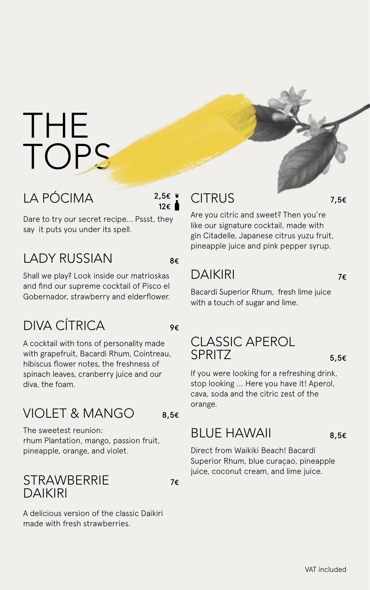## THE TOPS

#### LA PÓCIMA

2,5€ 12€

8€

9€

Dare to try our secret recipe... Pssst, they say it puts you under its spell.

#### LADY RUSSIAN

Shall we play? Look inside our matrioskas and find our supreme cocktail of Pisco el Gobernador, strawberry and elderflower.

#### DIVA CÍTRICA

A cocktail with tons of personality made with grapefruit, Bacardi Rhum, Cointreau, hibiscus flower notes, the freshness of spinach leaves, cranberry juice and our diva, the foam.

#### VIOLET & MANGO

The sweetest reunion: rhum Plantation, mango, passion fruit, pineapple, orange, and violet.

#### **STRAWBERRIE** DAIKIRI

7€

8,5€

A delicious version of the classic Daikiri made with fresh strawberries.

#### CITRUS

7,5€

Are you citric and sweet? Then you're like our signature cocktail, made with gin Citadelle, Japanese citrus yuzu fruit, pineapple juice and pink pepper syrup.

### DAIKIRI

7€

Bacardi Superior Rhum, fresh lime juice with a touch of sugar and lime.

#### CLASSIC APEROL SPRITZ

5,5€

If you were looking for a refreshing drink, stop looking ... Here you have it! Aperol, cava, soda and the citric zest of the orange.

#### BLUE HAWAII

8,5€

Direct from Waikiki Beach! Bacardí Superior Rhum, blue curaçao, pineapple juice, coconut cream, and lime juice.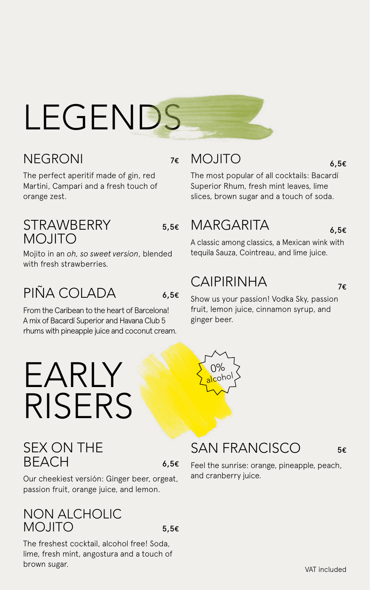# LEGENDS

#### NEGRONI

7€

The perfect aperitif made of gin, red Martini, Campari and a fresh touch of orange zest.

#### **STRAWBERRY** MOJITO

5,5€

Mojito in an *oh, so sweet version*, blended with fresh strawberries.

### PIÑA COLADA

EARLY

RISERS

6,5€

From the Caribean to the heart of Barcelona! A mix of Bacardí Superior and Havana Club 5 rhums with pineapple juice and coconut cream.

#### MOJITO

6,5€

The most popular of all cocktails: Bacardí Superior Rhum, fresh mint leaves, lime slices, brown sugar and a touch of soda.

#### MARGARITA

6,5€

A classic among classics, a Mexican wink with tequila Sauza, Cointreau, and lime juice.

#### CAIPIRINHA

0% coho 7€

Show us your passion! Vodka Sky, passion fruit, lemon juice, cinnamon syrup, and ginger beer.

#### SEX ON THE **BEACH**

6,5€

Our cheekiest versión: Ginger beer, orgeat, passion fruit, orange juice, and lemon.

#### NON ALCHOLIC MOJITO

5,5€

The freshest cocktail, alcohol free! Soda, lime, fresh mint, angostura and a touch of brown sugar.

#### SAN FRANCISCO

5€

Feel the sunrise: orange, pineapple, peach, and cranberry juice.